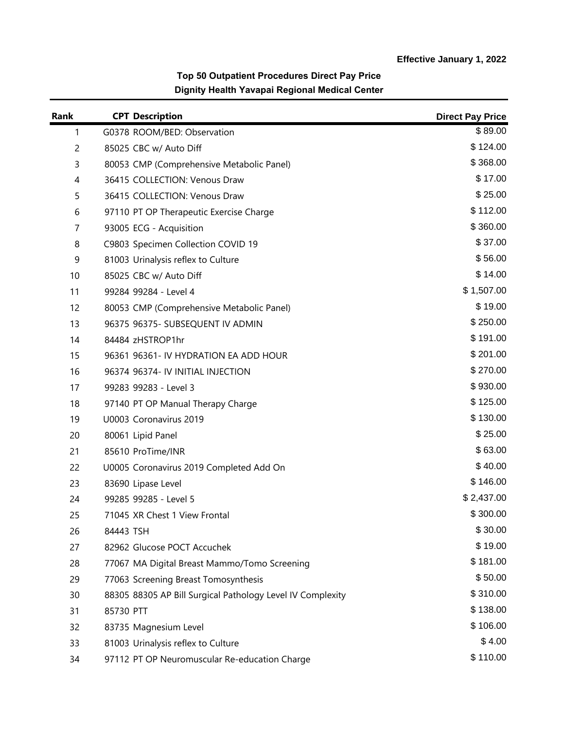| Rank           |           | <b>CPT Description</b>                                     | <b>Direct Pay Price</b> |
|----------------|-----------|------------------------------------------------------------|-------------------------|
| 1              |           | G0378 ROOM/BED: Observation                                | \$89.00                 |
| $\overline{c}$ |           | 85025 CBC w/ Auto Diff                                     | \$124.00                |
| 3              |           | 80053 CMP (Comprehensive Metabolic Panel)                  | \$368.00                |
| $\overline{4}$ |           | 36415 COLLECTION: Venous Draw                              | \$17.00                 |
| 5              |           | 36415 COLLECTION: Venous Draw                              | \$25.00                 |
| 6              |           | 97110 PT OP Therapeutic Exercise Charge                    | \$112.00                |
| $\overline{7}$ |           | 93005 ECG - Acquisition                                    | \$360.00                |
| 8              |           | C9803 Specimen Collection COVID 19                         | \$37.00                 |
| 9              |           | 81003 Urinalysis reflex to Culture                         | \$56.00                 |
| 10             |           | 85025 CBC w/ Auto Diff                                     | \$14.00                 |
| 11             |           | 99284 99284 - Level 4                                      | \$1,507.00              |
| 12             |           | 80053 CMP (Comprehensive Metabolic Panel)                  | \$19.00                 |
| 13             |           | 96375 96375- SUBSEQUENT IV ADMIN                           | \$250.00                |
| 14             |           | 84484 zHSTROP1hr                                           | \$191.00                |
| 15             |           | 96361 96361- IV HYDRATION EA ADD HOUR                      | \$201.00                |
| 16             |           | 96374 96374- IV INITIAL INJECTION                          | \$270.00                |
| 17             |           | 99283 99283 - Level 3                                      | \$930.00                |
| 18             |           | 97140 PT OP Manual Therapy Charge                          | \$125.00                |
| 19             |           | U0003 Coronavirus 2019                                     | \$130.00                |
| 20             |           | 80061 Lipid Panel                                          | \$25.00                 |
| 21             |           | 85610 ProTime/INR                                          | \$63.00                 |
| 22             |           | U0005 Coronavirus 2019 Completed Add On                    | \$40.00                 |
| 23             |           | 83690 Lipase Level                                         | \$146.00                |
| 24             |           | 99285 99285 - Level 5                                      | \$2,437.00              |
| 25             |           | 71045 XR Chest 1 View Frontal                              | \$300.00                |
| 26             | 84443 TSH |                                                            | \$30.00                 |
| 27             |           | 82962 Glucose POCT Accuchek                                | \$19.00                 |
| 28             |           | 77067 MA Digital Breast Mammo/Tomo Screening               | \$181.00                |
| 29             |           | 77063 Screening Breast Tomosynthesis                       | \$50.00                 |
| 30             |           | 88305 88305 AP Bill Surgical Pathology Level IV Complexity | \$310.00                |
| 31             | 85730 PTT |                                                            | \$138.00                |
| 32             |           | 83735 Magnesium Level                                      | \$106.00                |
| 33             |           | 81003 Urinalysis reflex to Culture                         | \$4.00                  |
| 34             |           | 97112 PT OP Neuromuscular Re-education Charge              | \$110.00                |

## **Top 50 Outpatient Procedures Direct Pay Price Dignity Health Yavapai Regional Medical Center**